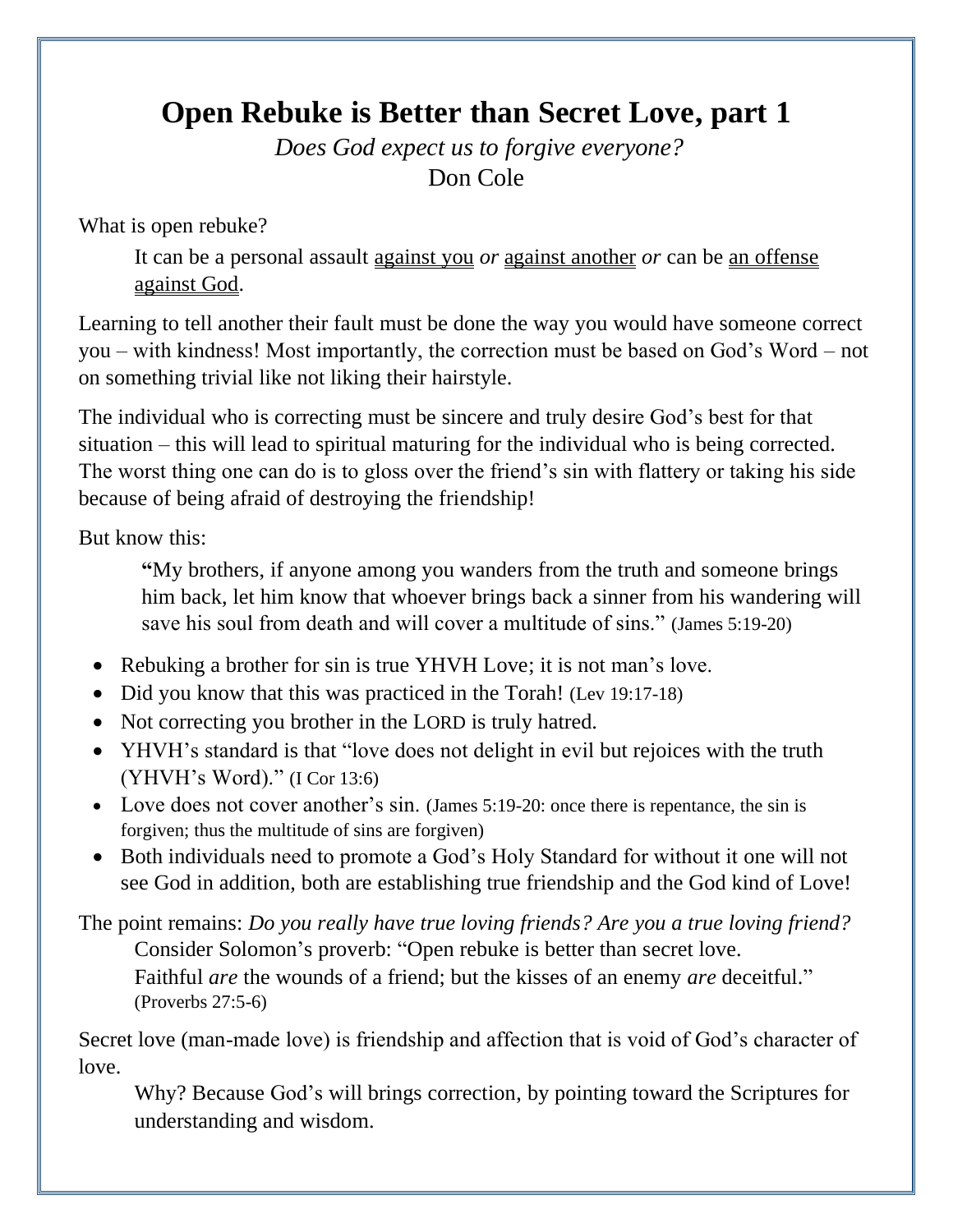## **Open Rebuke is Better than Secret Love, part 1**

*Does God expect us to forgive everyone?* Don Cole

What is open rebuke?

It can be a personal assault against you *or* against another *or* can be an offense against God.

Learning to tell another their fault must be done the way you would have someone correct you – with kindness! Most importantly, the correction must be based on God's Word – not on something trivial like not liking their hairstyle.

The individual who is correcting must be sincere and truly desire God's best for that situation – this will lead to spiritual maturing for the individual who is being corrected. The worst thing one can do is to gloss over the friend's sin with flattery or taking his side because of being afraid of destroying the friendship!

But know this:

**"**My brothers, if anyone among you wanders from the truth and someone brings him back, let him know that whoever brings back a sinner from his wandering will save his soul from death and will cover a multitude of sins." (James 5:19-20)

- Rebuking a brother for sin is true YHVH Love; it is not man's love.
- Did you know that this was practiced in the Torah! (Lev 19:17-18)
- Not correcting you brother in the LORD is truly hatred.
- YHVH's standard is that "love does not delight in evil but rejoices with the truth (YHVH's Word)." (I Cor 13:6)
- Love does not cover another's sin. (James 5:19-20: once there is repentance, the sin is forgiven; thus the multitude of sins are forgiven)
- Both individuals need to promote a God's Holy Standard for without it one will not see God in addition, both are establishing true friendship and the God kind of Love!

The point remains: *Do you really have true loving friends? Are you a true loving friend?* Consider Solomon's proverb: "Open rebuke is better than secret love. Faithful *are* the wounds of a friend; but the kisses of an enemy *are* deceitful." (Proverbs 27:5-6)

Secret love (man-made love) is friendship and affection that is void of God's character of love.

Why? Because God's will brings correction, by pointing toward the Scriptures for understanding and wisdom.